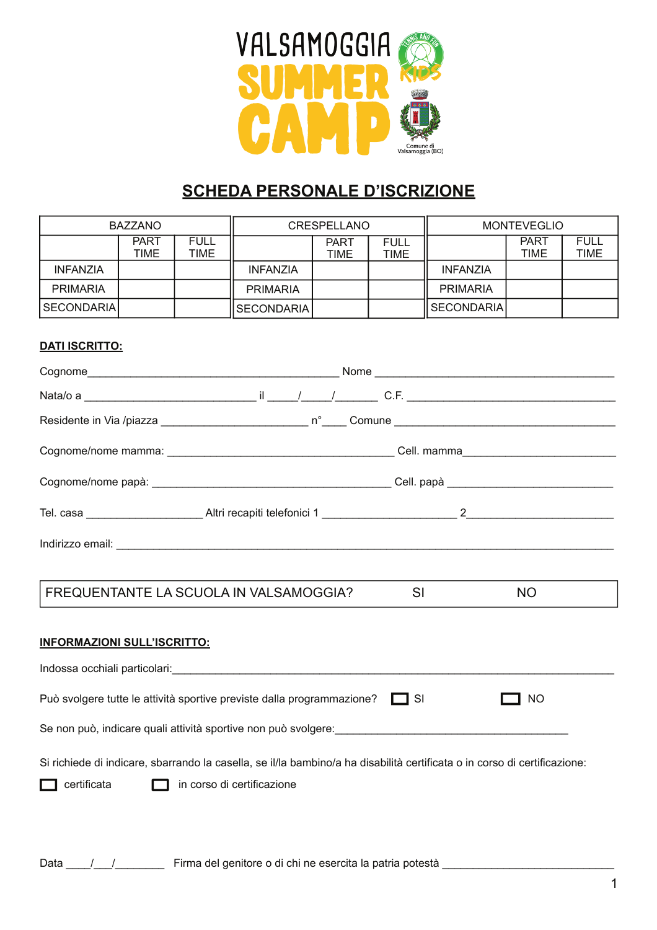

# **SCHEDA PERSONALE D'ISCRIZIONE**

| BAZZANO         |              |                     | <b>CRESPELLANO</b> |                     |                            | <b>MONTEVEGLIO</b> |                     |                            |
|-----------------|--------------|---------------------|--------------------|---------------------|----------------------------|--------------------|---------------------|----------------------------|
|                 | PART<br>TIME | <b>FULL</b><br>TIME |                    | <b>PART</b><br>TIME | <b>FULL</b><br><b>TIME</b> |                    | <b>PART</b><br>TIME | <b>FULL</b><br><b>TIME</b> |
| <b>INFANZIA</b> |              |                     | <b>INFANZIA</b>    |                     |                            | <b>INFANZIA</b>    |                     |                            |
| <b>PRIMARIA</b> |              |                     | <b>PRIMARIA</b>    |                     |                            | <b>PRIMARIA</b>    |                     |                            |
| SECONDARIA      |              |                     | SECONDARIA         |                     |                            | SECONDARIA         |                     |                            |

#### **DATI ISCRITTO:**

| FREQUENTANTE LA SCUOLA IN VALSAMOGGIA?                                                                                    | SI        | <b>NO</b> |
|---------------------------------------------------------------------------------------------------------------------------|-----------|-----------|
| <b>INFORMAZIONI SULL'ISCRITTO:</b>                                                                                        |           |           |
|                                                                                                                           |           |           |
| Può svolgere tutte le attività sportive previste dalla programmazione?                                                    | $\Box$ SI | NO        |
| Se non può, indicare quali attività sportive non può svolgere: electronicale establecenti della controlla dell            |           |           |
| Si richiede di indicare, sbarrando la casella, se il/la bambino/a ha disabilità certificata o in corso di certificazione: |           |           |
| certificata<br>in corso di certificazione                                                                                 |           |           |
|                                                                                                                           |           |           |
|                                                                                                                           |           |           |

Data \_\_\_\_/\_\_\_/\_\_\_\_\_\_\_\_\_\_\_\_\_\_ Firma del genitore o di chi ne esercita la patria potestà \_\_\_\_\_\_\_\_\_\_\_\_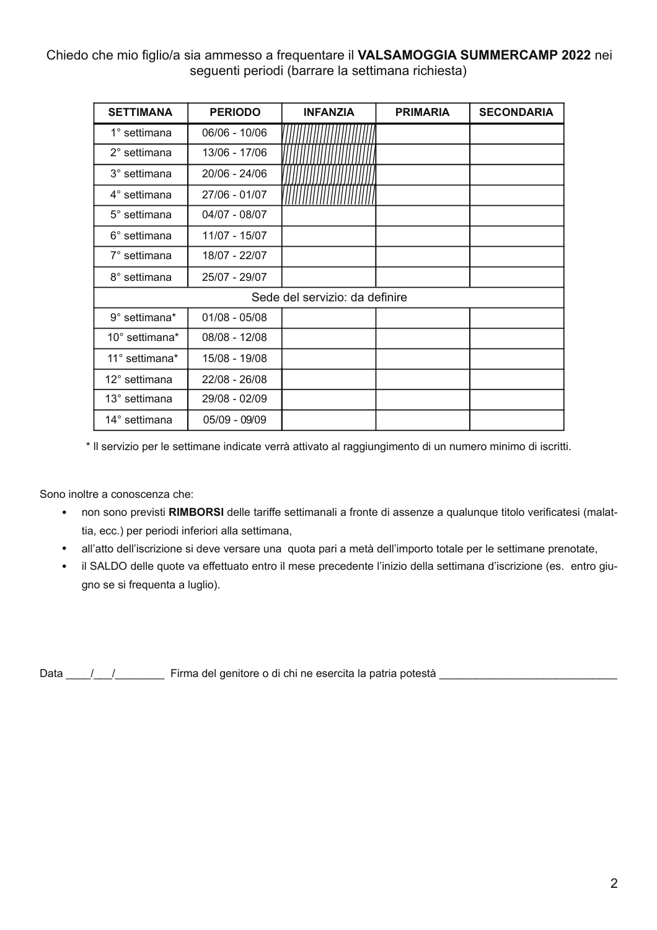### Chiedo che mio figlio/a sia ammesso a frequentare il VALSAMOGGIA SUMMERCAMP 2022 nei seguenti periodi (barrare la settimana richiesta)

| <b>SETTIMANA</b>       | <b>PERIODO</b>  | <b>INFANZIA</b>                | <b>PRIMARIA</b> | <b>SECONDARIA</b> |
|------------------------|-----------------|--------------------------------|-----------------|-------------------|
| 1° settimana           | 06/06 - 10/06   |                                |                 |                   |
| $2^{\circ}$ settimana  | 13/06 - 17/06   |                                |                 |                   |
| 3° settimana           | 20/06 - 24/06   |                                |                 |                   |
| 4° settimana           | 27/06 - 01/07   |                                |                 |                   |
| $5^\circ$ settimana    | 04/07 - 08/07   |                                |                 |                   |
| 6° settimana           | 11/07 - 15/07   |                                |                 |                   |
| 7° settimana           | 18/07 - 22/07   |                                |                 |                   |
| 8° settimana           | 25/07 - 29/07   |                                |                 |                   |
|                        |                 | Sede del servizio: da definire |                 |                   |
| 9° settimana*          | $01/08 - 05/08$ |                                |                 |                   |
| 10° settimana*         | 08/08 - 12/08   |                                |                 |                   |
| 11° settimana*         | 15/08 - 19/08   |                                |                 |                   |
| $12^{\circ}$ settimana | 22/08 - 26/08   |                                |                 |                   |
| 13° settimana          | 29/08 - 02/09   |                                |                 |                   |
| 14° settimana          | 05/09 - 09/09   |                                |                 |                   |

\* Il servizio per le settimane indicate verrà attivato al raggiungimento di un numero minimo di iscritti.

Sono inoltre a conoscenza che:

- non sono previsti RIMBORSI delle tariffe settimanali a fronte di assenze a qualunque titolo verificatesi (malattia, ecc.) per periodi inferiori alla settimana,
- · all'atto dell'iscrizione si deve versare una quota pari a metà dell'importo totale per le settimane prenotate,
- · il SALDO delle quote va effettuato entro il mese precedente l'inizio della settimana d'iscrizione (es. entro giugno se si frequenta a luglio).

Data \_\_\_\_/\_\_\_/\_\_\_\_\_\_\_\_\_\_\_\_\_ Firma del genitore o di chi ne esercita la patria potestà \_\_\_\_\_\_\_\_\_\_\_\_\_\_\_\_\_\_\_\_\_\_\_\_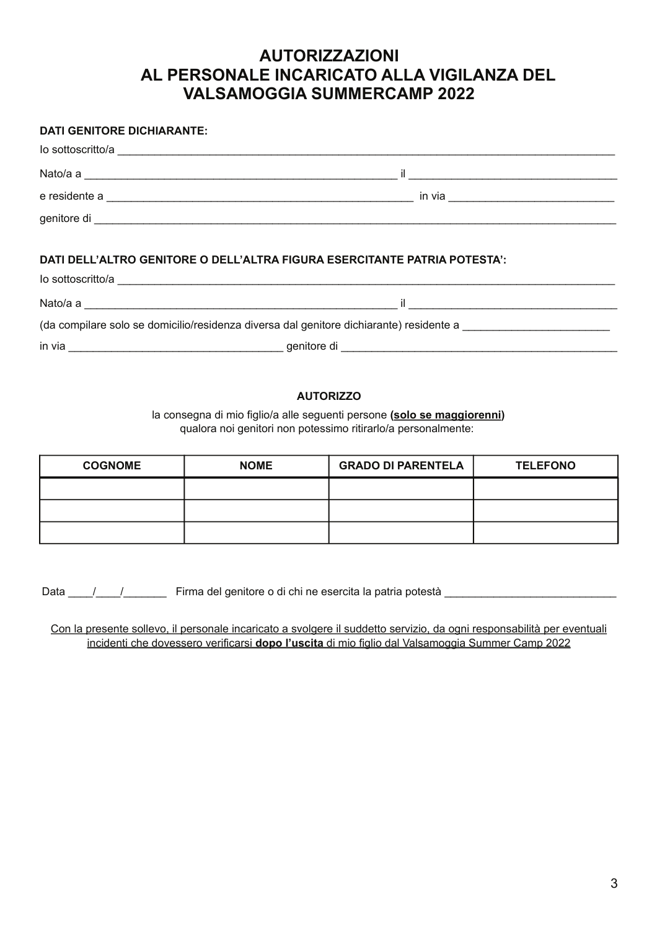### **AUTORIZZAZIONI** AL PERSONALE INCARICATO ALLA VIGILANZA DEL **VALSAMOGGIA SUMMERCAMP 2022**

#### **DATI GENITORE DICHIARANTE:**

| lo sottoscritto/a |        |
|-------------------|--------|
| Nato/a a          |        |
| e residente a     | in via |
|                   |        |
|                   |        |

#### DATI DELL'ALTRO GENITORE O DELL'ALTRA FIGURA ESERCITANTE PATRIA POTESTA':

Nato/a a service a service and a service of the service of the service of the service of the service of the service of the service of the service of the service of the service of the service of the service of the service o

(da compilare solo se domicilio/residenza diversa dal genitore dichiarante) residente a

#### **AUTORIZZO**

la consegna di mio figlio/a alle seguenti persone (solo se maggiorenni) qualora noi genitori non potessimo ritirarlo/a personalmente:

| <b>COGNOME</b> | <b>NOME</b> | <b>GRADO DI PARENTELA</b> | <b>TELEFONO</b> |
|----------------|-------------|---------------------------|-----------------|
|                |             |                           |                 |
|                |             |                           |                 |
|                |             |                           |                 |

Data / / / Firma del genitore o di chi ne esercita la patria potestà

Con la presente sollevo, il personale incaricato a svolgere il suddetto servizio, da ogni responsabilità per eventuali incidenti che dovessero verificarsi dopo l'uscita di mio figlio dal Valsamoggia Summer Camp 2022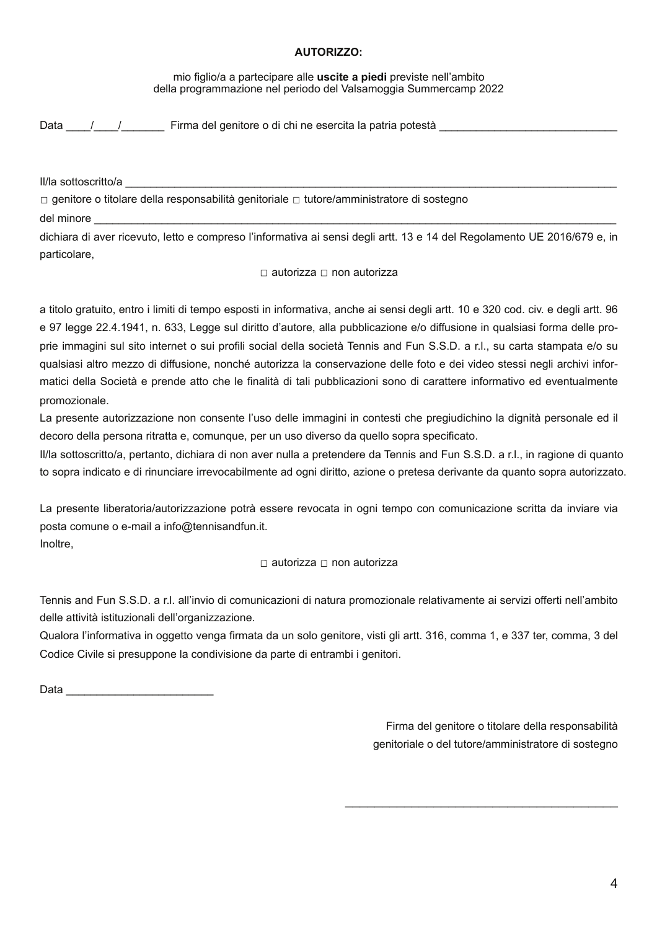#### **AUTORIZZO:**

#### mio figlio/a a partecipare alle uscite a piedi previste nell'ambito della programmazione nel periodo del Valsamoggia Summercamp 2022

Data / / Firma del genitore o di chi ne esercita la patria potestà

II/la sottoscritto/a

□ genitore o titolare della responsabilità genitoriale □ tutore/amministratore di sostegno

del minore

dichiara di aver ricevuto, letto e compreso l'informativa ai sensi degli artt. 13 e 14 del Regolamento UE 2016/679 e, in particolare.

□ autorizza □ non autorizza

a titolo gratuito, entro i limiti di tempo esposti in informativa, anche ai sensi degli artt. 10 e 320 cod. civ. e degli artt. 96 e 97 legge 22.4.1941, n. 633, Legge sul diritto d'autore, alla pubblicazione e/o diffusione in qualsiasi forma delle proprie immagini sul sito internet o sui profili social della società Tennis and Fun S.S.D. a r.l., su carta stampata e/o su qualsiasi altro mezzo di diffusione, nonché autorizza la conservazione delle foto e dei video stessi negli archivi informatici della Società e prende atto che le finalità di tali pubblicazioni sono di carattere informativo ed eventualmente promozionale.

La presente autorizzazione non consente l'uso delle immagini in contesti che pregiudichino la dignità personale ed il decoro della persona ritratta e, comunque, per un uso diverso da quello sopra specificato.

II/la sottoscritto/a, pertanto, dichiara di non aver nulla a pretendere da Tennis and Fun S.S.D. a r.l., in ragione di guanto to sopra indicato e di rinunciare irrevocabilmente ad ogni diritto, azione o pretesa derivante da quanto sopra autorizzato.

La presente liberatoria/autorizzazione potrà essere revocata in ogni tempo con comunicazione scritta da inviare via posta comune o e-mail a info@tennisandfun.it. Inoltre,

 $\Box$  autorizza  $\Box$  non autorizza

Tennis and Fun S.S.D. a r.l. all'invio di comunicazioni di natura promozionale relativamente ai servizi offerti nell'ambito delle attività istituzionali dell'organizzazione.

Qualora l'informativa in oggetto venga firmata da un solo genitore, visti gli artt. 316, comma 1, e 337 ter, comma, 3 del Codice Civile si presuppone la condivisione da parte di entrambi i genitori.

Data <u>behavious</u>

Firma del genitore o titolare della responsabilità genitoriale o del tutore/amministratore di sostegno